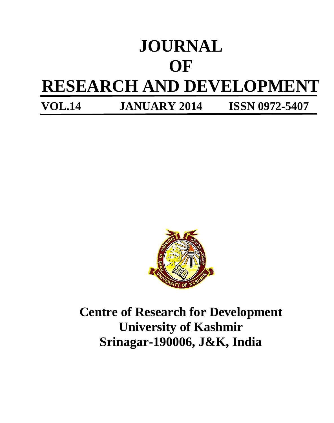# **JOURNAL OF RESEARCH AND DEVELOPMENT VOL.14 JANUARY 2014 ISSN 0972-5407**

**Centre of Research for Development University of Kashmir Srinagar-190006, J&K, India**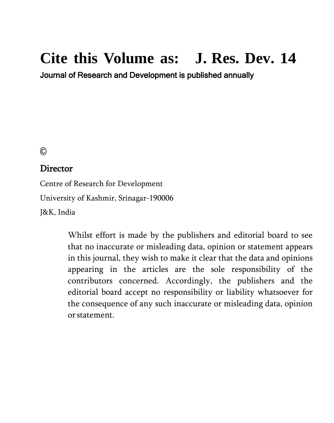## **Cite this Volume as: J. Res. Dev. 14**

Journal of Research and Development is published annually

©

#### Director

Centre of Research for Development

University of Kashmir, Srinagar-190006

J&K, India

Whilst effort is made by the publishers and editorial board to see that no inaccurate or misleading data, opinion or statement appears in this journal, they wish to make it clear that the data and opinions appearing in the articles are the sole responsibility of the contributors concerned. Accordingly, the publishers and the editorial board accept no responsibility or liability whatsoever for the consequence of any such inaccurate or misleading data, opinion orstatement.